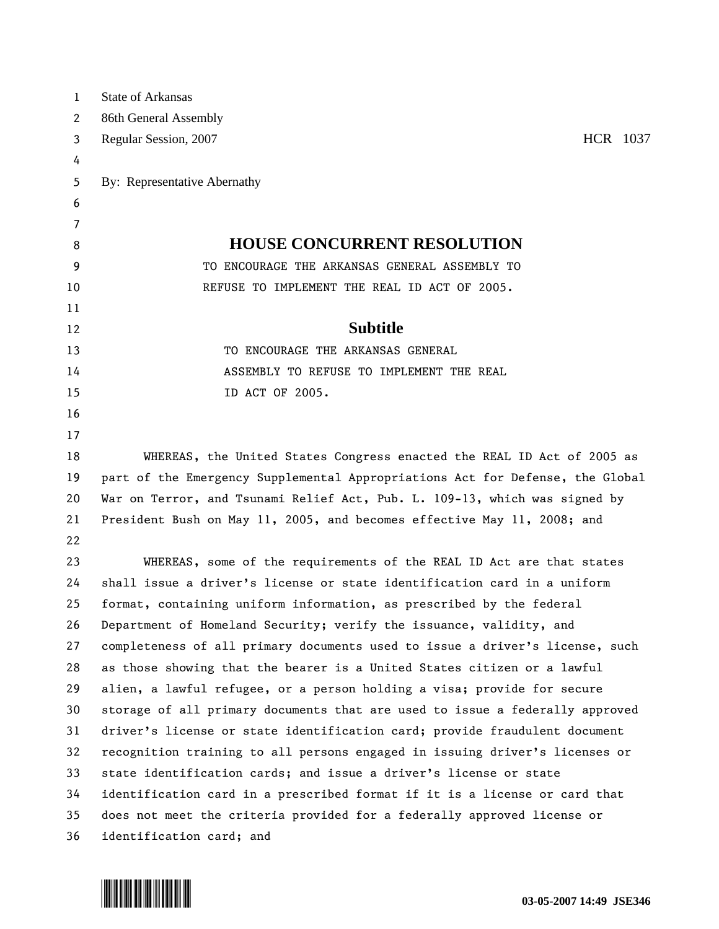| $\mathbf 1$ | <b>State of Arkansas</b>                                                      |
|-------------|-------------------------------------------------------------------------------|
| 2           | 86th General Assembly                                                         |
| 3           | HCR 1037<br>Regular Session, 2007                                             |
| 4           |                                                                               |
| 5           | By: Representative Abernathy                                                  |
| 6           |                                                                               |
| 7           |                                                                               |
| 8           | <b>HOUSE CONCURRENT RESOLUTION</b>                                            |
| 9           | TO ENCOURAGE THE ARKANSAS GENERAL ASSEMBLY TO                                 |
| 10          | REFUSE TO IMPLEMENT THE REAL ID ACT OF 2005.                                  |
| 11          |                                                                               |
| 12          | <b>Subtitle</b>                                                               |
| 13          | TO ENCOURAGE THE ARKANSAS GENERAL                                             |
| 14          | ASSEMBLY TO REFUSE TO IMPLEMENT THE REAL                                      |
| 15          | ID ACT OF 2005.                                                               |
| 16          |                                                                               |
| 17          |                                                                               |
| 18          | WHEREAS, the United States Congress enacted the REAL ID Act of 2005 as        |
| 19          | part of the Emergency Supplemental Appropriations Act for Defense, the Global |
| 20          | War on Terror, and Tsunami Relief Act, Pub. L. 109-13, which was signed by    |
| 21          | President Bush on May 11, 2005, and becomes effective May 11, 2008; and       |
| 22          |                                                                               |
| 23          | WHEREAS, some of the requirements of the REAL ID Act are that states          |
| 24          | shall issue a driver's license or state identification card in a uniform      |
| 25          | format, containing uniform information, as prescribed by the federal          |
| 26          | Department of Homeland Security; verify the issuance, validity, and           |
| 27          | completeness of all primary documents used to issue a driver's license, such  |
| 28          | as those showing that the bearer is a United States citizen or a lawful       |
| 29          | alien, a lawful refugee, or a person holding a visa; provide for secure       |
| 30          | storage of all primary documents that are used to issue a federally approved  |
| 31          | driver's license or state identification card; provide fraudulent document    |
| 32          | recognition training to all persons engaged in issuing driver's licenses or   |
| 33          | state identification cards; and issue a driver's license or state             |
| 34          | identification card in a prescribed format if it is a license or card that    |
| 35          | does not meet the criteria provided for a federally approved license or       |
| 36          | identification card; and                                                      |
|             |                                                                               |

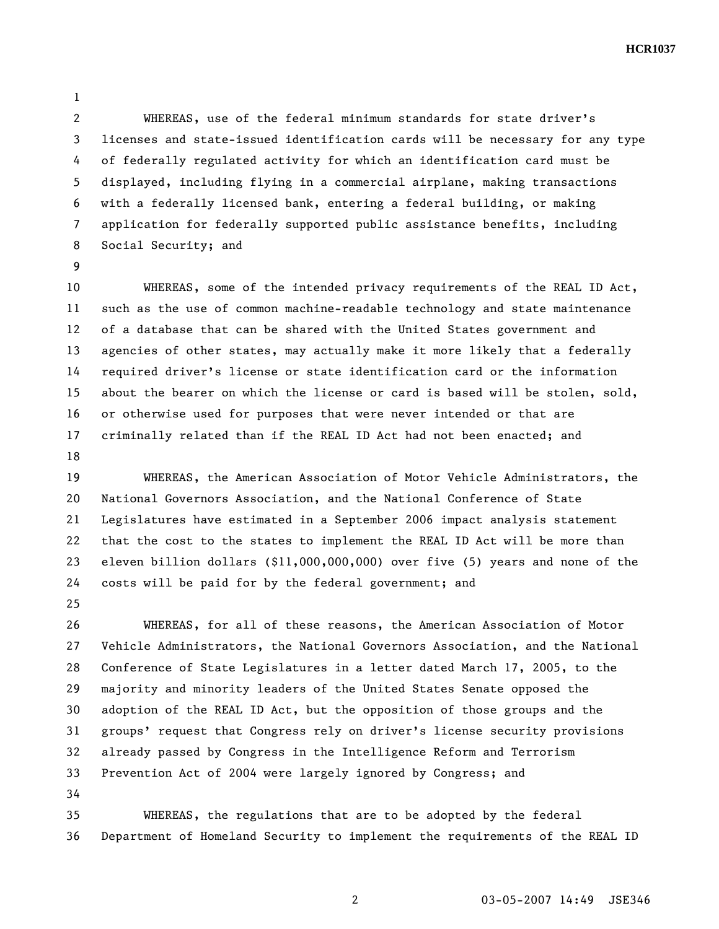**HCR1037** 

1

2 WHEREAS, use of the federal minimum standards for state driver's 3 licenses and state-issued identification cards will be necessary for any type 4 of federally regulated activity for which an identification card must be 5 displayed, including flying in a commercial airplane, making transactions 6 with a federally licensed bank, entering a federal building, or making 7 application for federally supported public assistance benefits, including 8 Social Security; and

9

10 WHEREAS, some of the intended privacy requirements of the REAL ID Act, 11 such as the use of common machine-readable technology and state maintenance 12 of a database that can be shared with the United States government and 13 agencies of other states, may actually make it more likely that a federally 14 required driver's license or state identification card or the information 15 about the bearer on which the license or card is based will be stolen, sold, 16 or otherwise used for purposes that were never intended or that are 17 criminally related than if the REAL ID Act had not been enacted; and 18

19 WHEREAS, the American Association of Motor Vehicle Administrators, the 20 National Governors Association, and the National Conference of State 21 Legislatures have estimated in a September 2006 impact analysis statement 22 that the cost to the states to implement the REAL ID Act will be more than 23 eleven billion dollars (\$11,000,000,000) over five (5) years and none of the 24 costs will be paid for by the federal government; and

25

26 WHEREAS, for all of these reasons, the American Association of Motor 27 Vehicle Administrators, the National Governors Association, and the National 28 Conference of State Legislatures in a letter dated March 17, 2005, to the 29 majority and minority leaders of the United States Senate opposed the 30 adoption of the REAL ID Act, but the opposition of those groups and the 31 groups' request that Congress rely on driver's license security provisions 32 already passed by Congress in the Intelligence Reform and Terrorism 33 Prevention Act of 2004 were largely ignored by Congress; and 34

35 WHEREAS, the regulations that are to be adopted by the federal 36 Department of Homeland Security to implement the requirements of the REAL ID